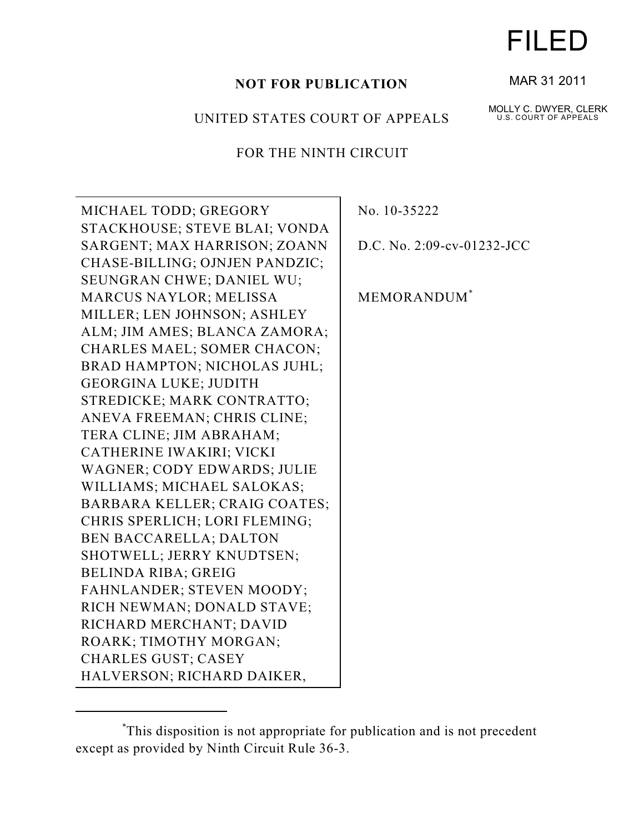# **NOT FOR PUBLICATION**

## UNITED STATES COURT OF APPEALS

# FOR THE NINTH CIRCUIT

MICHAEL TODD; GREGORY STACKHOUSE; STEVE BLAI; VONDA SARGENT; MAX HARRISON; ZOANN CHASE-BILLING; OJNJEN PANDZIC; SEUNGRAN CHWE; DANIEL WU; MARCUS NAYLOR; MELISSA MILLER; LEN JOHNSON; ASHLEY ALM; JIM AMES; BLANCA ZAMORA; CHARLES MAEL; SOMER CHACON; BRAD HAMPTON; NICHOLAS JUHL; GEORGINA LUKE; JUDITH STREDICKE; MARK CONTRATTO; ANEVA FREEMAN; CHRIS CLINE; TERA CLINE; JIM ABRAHAM; CATHERINE IWAKIRI; VICKI WAGNER; CODY EDWARDS; JULIE WILLIAMS; MICHAEL SALOKAS; BARBARA KELLER; CRAIG COATES; CHRIS SPERLICH; LORI FLEMING; BEN BACCARELLA; DALTON SHOTWELL; JERRY KNUDTSEN; BELINDA RIBA; GREIG FAHNLANDER; STEVEN MOODY; RICH NEWMAN; DONALD STAVE; RICHARD MERCHANT; DAVID ROARK; TIMOTHY MORGAN; CHARLES GUST; CASEY HALVERSON; RICHARD DAIKER,

No. 10-35222

D.C. No. 2:09-cv-01232-JCC

MEMORANDUM\*

This disposition is not appropriate for publication and is not precedent \* except as provided by Ninth Circuit Rule 36-3.

# FILED

#### MAR 31 2011

MOLLY C. DWYER, CLERK U.S. COURT OF APPEALS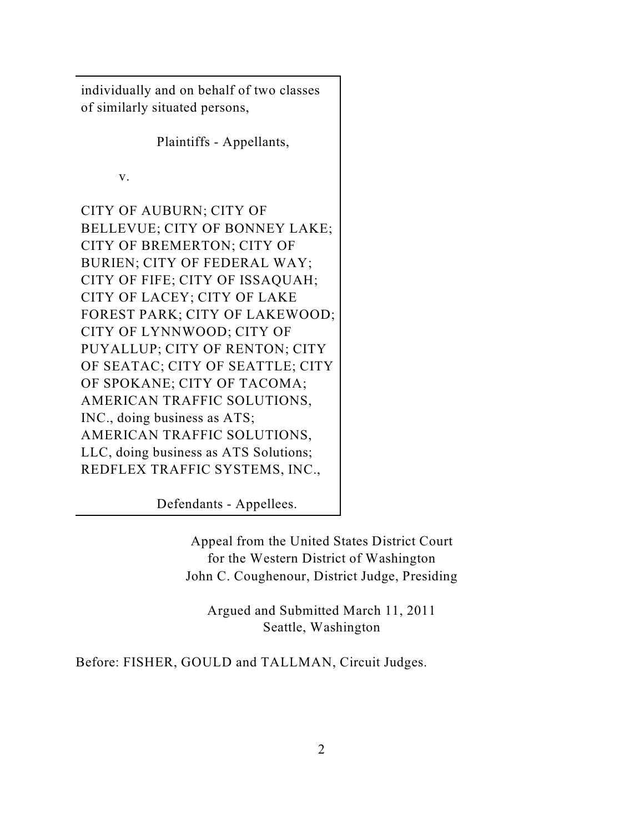individually and on behalf of two classes of similarly situated persons,

Plaintiffs - Appellants,

v.

CITY OF AUBURN; CITY OF BELLEVUE; CITY OF BONNEY LAKE; CITY OF BREMERTON; CITY OF BURIEN; CITY OF FEDERAL WAY; CITY OF FIFE; CITY OF ISSAQUAH; CITY OF LACEY; CITY OF LAKE FOREST PARK; CITY OF LAKEWOOD; CITY OF LYNNWOOD; CITY OF PUYALLUP; CITY OF RENTON; CITY OF SEATAC; CITY OF SEATTLE; CITY OF SPOKANE; CITY OF TACOMA; AMERICAN TRAFFIC SOLUTIONS, INC., doing business as ATS; AMERICAN TRAFFIC SOLUTIONS, LLC, doing business as ATS Solutions; REDFLEX TRAFFIC SYSTEMS, INC.,

Defendants - Appellees.

Appeal from the United States District Court for the Western District of Washington John C. Coughenour, District Judge, Presiding

Argued and Submitted March 11, 2011 Seattle, Washington

Before: FISHER, GOULD and TALLMAN, Circuit Judges.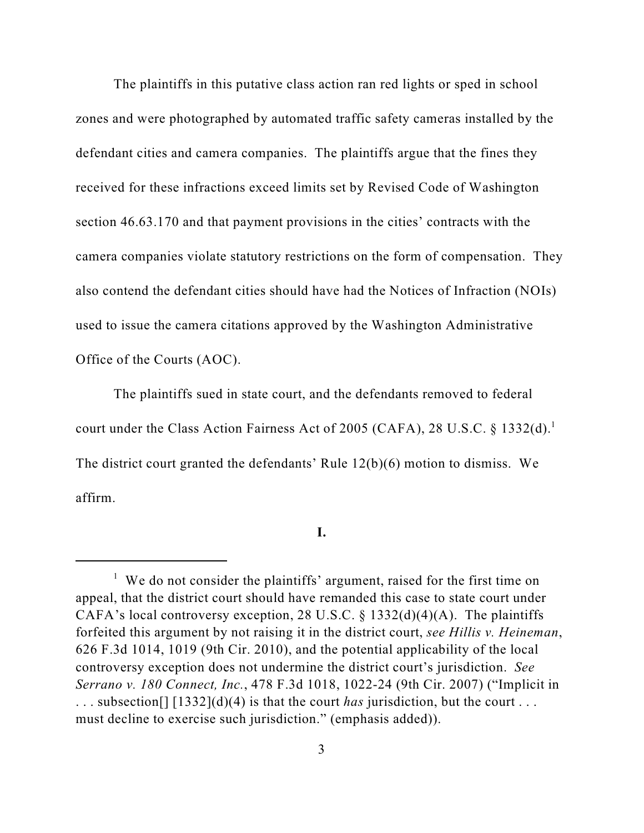The plaintiffs in this putative class action ran red lights or sped in school zones and were photographed by automated traffic safety cameras installed by the defendant cities and camera companies. The plaintiffs argue that the fines they received for these infractions exceed limits set by Revised Code of Washington section 46.63.170 and that payment provisions in the cities' contracts with the camera companies violate statutory restrictions on the form of compensation. They also contend the defendant cities should have had the Notices of Infraction (NOIs) used to issue the camera citations approved by the Washington Administrative Office of the Courts (AOC).

 The plaintiffs sued in state court, and the defendants removed to federal court under the Class Action Fairness Act of 2005 (CAFA), 28 U.S.C. § 1332(d).<sup>1</sup> The district court granted the defendants' Rule 12(b)(6) motion to dismiss. We affirm.

**I.**

 $1$  We do not consider the plaintiffs' argument, raised for the first time on appeal, that the district court should have remanded this case to state court under CAFA's local controversy exception, 28 U.S.C. § 1332(d)(4)(A). The plaintiffs forfeited this argument by not raising it in the district court, *see Hillis v. Heineman*, 626 F.3d 1014, 1019 (9th Cir. 2010), and the potential applicability of the local controversy exception does not undermine the district court's jurisdiction. *See Serrano v. 180 Connect, Inc.*, 478 F.3d 1018, 1022-24 (9th Cir. 2007) ("Implicit in . . . subsection[] [1332](d)(4) is that the court *has* jurisdiction, but the court . . . must decline to exercise such jurisdiction." (emphasis added)).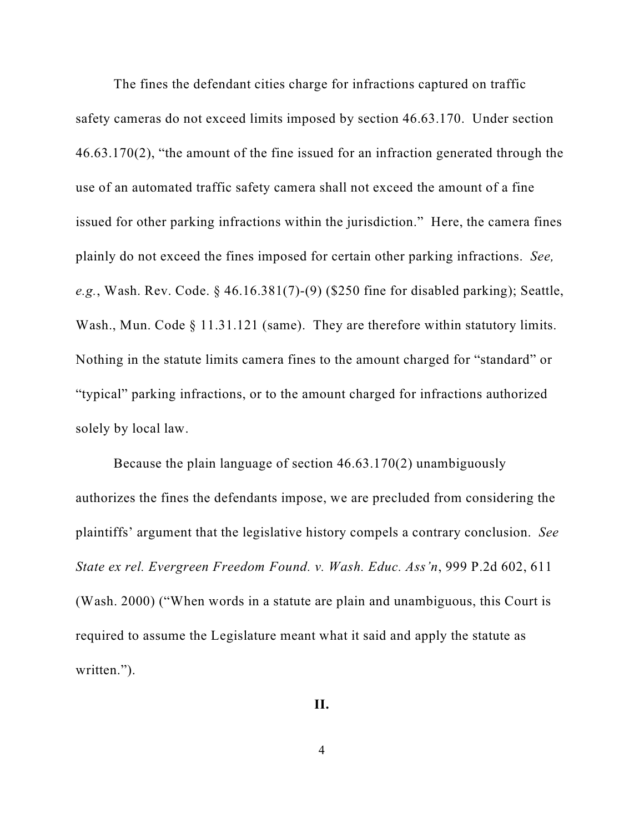The fines the defendant cities charge for infractions captured on traffic safety cameras do not exceed limits imposed by section 46.63.170. Under section 46.63.170(2), "the amount of the fine issued for an infraction generated through the use of an automated traffic safety camera shall not exceed the amount of a fine issued for other parking infractions within the jurisdiction." Here, the camera fines plainly do not exceed the fines imposed for certain other parking infractions. *See, e.g.*, Wash. Rev. Code. § 46.16.381(7)-(9) (\$250 fine for disabled parking); Seattle, Wash., Mun. Code § 11.31.121 (same). They are therefore within statutory limits. Nothing in the statute limits camera fines to the amount charged for "standard" or "typical" parking infractions, or to the amount charged for infractions authorized solely by local law.

Because the plain language of section 46.63.170(2) unambiguously authorizes the fines the defendants impose, we are precluded from considering the plaintiffs' argument that the legislative history compels a contrary conclusion. *See State ex rel. Evergreen Freedom Found. v. Wash. Educ. Ass'n*, 999 P.2d 602, 611 (Wash. 2000) ("When words in a statute are plain and unambiguous, this Court is required to assume the Legislature meant what it said and apply the statute as written.").

#### **II.**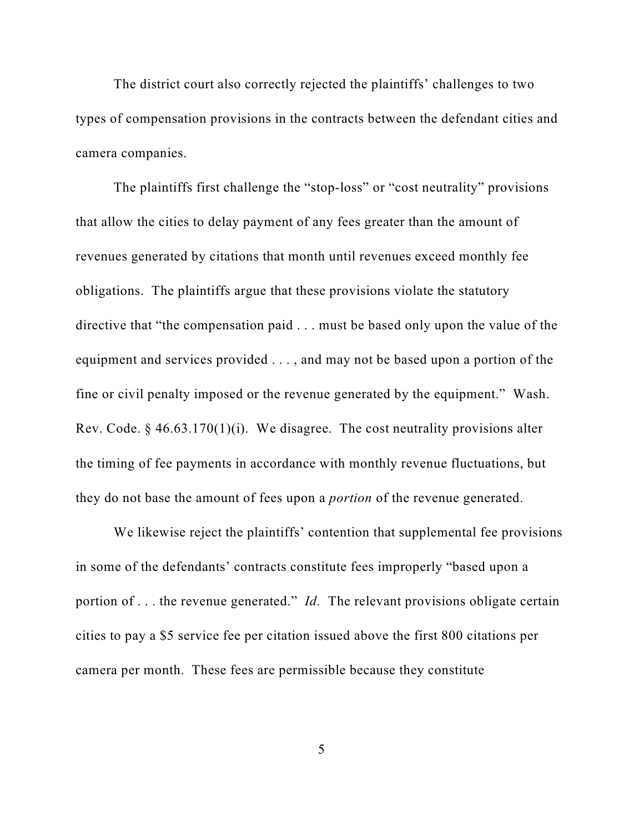The district court also correctly rejected the plaintiffs' challenges to two types of compensation provisions in the contracts between the defendant cities and camera companies.

The plaintiffs first challenge the "stop-loss" or "cost neutrality" provisions that allow the cities to delay payment of any fees greater than the amount of revenues generated by citations that month until revenues exceed monthly fee obligations. The plaintiffs argue that these provisions violate the statutory directive that "the compensation paid . . . must be based only upon the value of the equipment and services provided . . . , and may not be based upon a portion of the fine or civil penalty imposed or the revenue generated by the equipment." Wash. Rev. Code. § 46.63.170(1)(i). We disagree. The cost neutrality provisions alter the timing of fee payments in accordance with monthly revenue fluctuations, but they do not base the amount of fees upon a *portion* of the revenue generated.

We likewise reject the plaintiffs' contention that supplemental fee provisions in some of the defendants' contracts constitute fees improperly "based upon a portion of . . . the revenue generated." *Id.* The relevant provisions obligate certain cities to pay a \$5 service fee per citation issued above the first 800 citations per camera per month. These fees are permissible because they constitute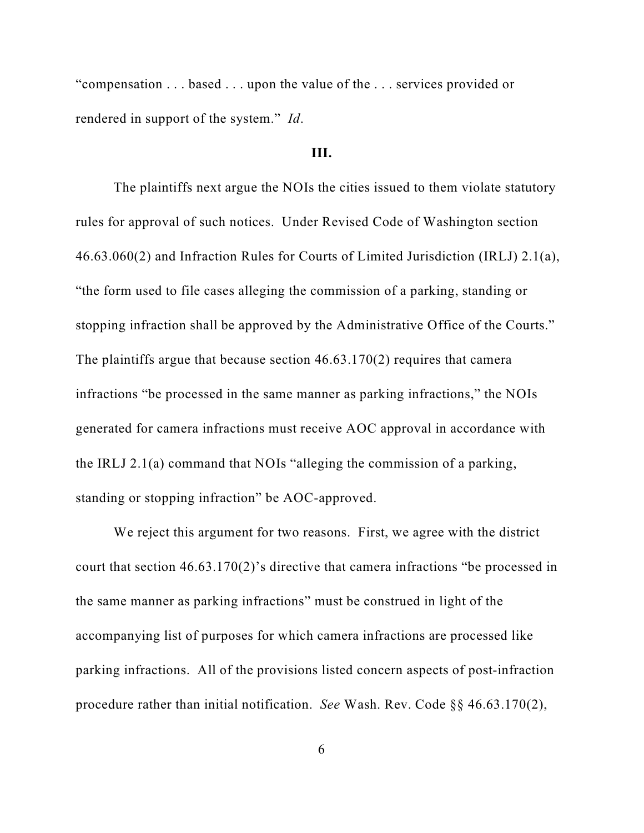"compensation . . . based . . . upon the value of the . . . services provided or rendered in support of the system." *Id*.

# **III.**

The plaintiffs next argue the NOIs the cities issued to them violate statutory rules for approval of such notices. Under Revised Code of Washington section 46.63.060(2) and Infraction Rules for Courts of Limited Jurisdiction (IRLJ) 2.1(a), "the form used to file cases alleging the commission of a parking, standing or stopping infraction shall be approved by the Administrative Office of the Courts." The plaintiffs argue that because section 46.63.170(2) requires that camera infractions "be processed in the same manner as parking infractions," the NOIs generated for camera infractions must receive AOC approval in accordance with the IRLJ 2.1(a) command that NOIs "alleging the commission of a parking, standing or stopping infraction" be AOC-approved.

We reject this argument for two reasons. First, we agree with the district court that section 46.63.170(2)'s directive that camera infractions "be processed in the same manner as parking infractions" must be construed in light of the accompanying list of purposes for which camera infractions are processed like parking infractions. All of the provisions listed concern aspects of post-infraction procedure rather than initial notification. *See* Wash. Rev. Code §§ 46.63.170(2),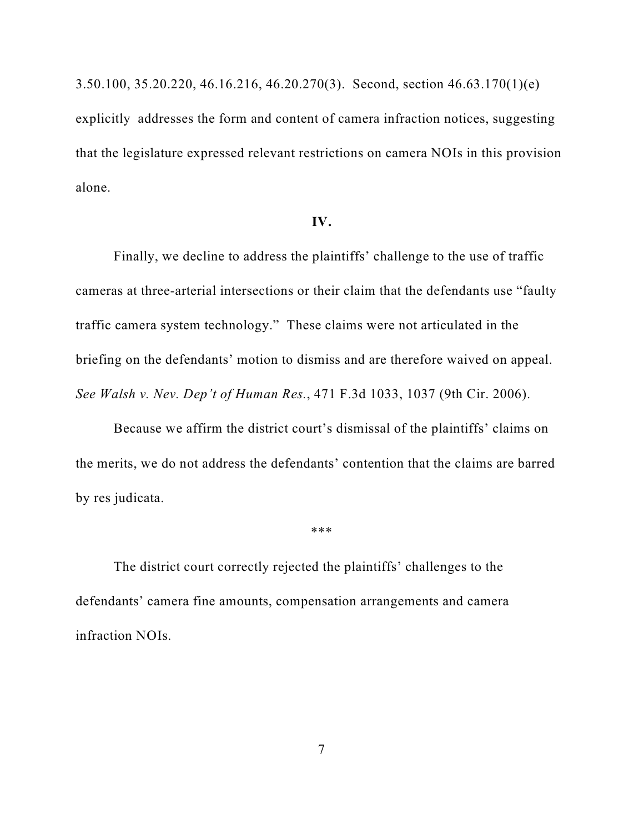3.50.100, 35.20.220, 46.16.216, 46.20.270(3). Second, section 46.63.170(1)(e) explicitly addresses the form and content of camera infraction notices, suggesting that the legislature expressed relevant restrictions on camera NOIs in this provision alone.

## **IV.**

Finally, we decline to address the plaintiffs' challenge to the use of traffic cameras at three-arterial intersections or their claim that the defendants use "faulty traffic camera system technology." These claims were not articulated in the briefing on the defendants' motion to dismiss and are therefore waived on appeal. *See Walsh v. Nev. Dep't of Human Res.*, 471 F.3d 1033, 1037 (9th Cir. 2006).

Because we affirm the district court's dismissal of the plaintiffs' claims on the merits, we do not address the defendants' contention that the claims are barred by res judicata.

\*\*\*

The district court correctly rejected the plaintiffs' challenges to the defendants' camera fine amounts, compensation arrangements and camera infraction NOIs.